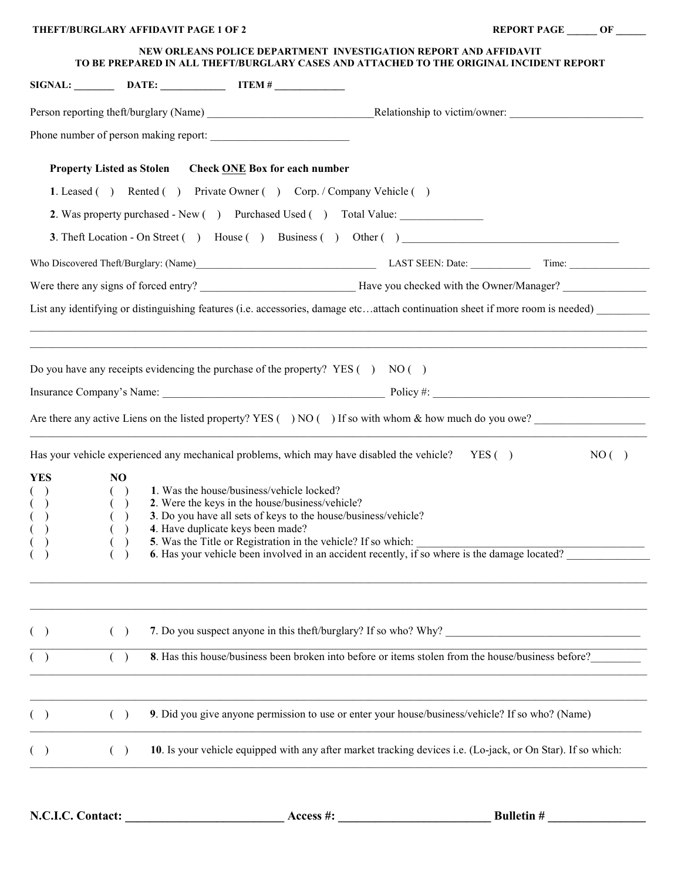|                                                                                                                                                             |        | <b>THEFT/BURGLARY AFFIDAVIT PAGE 1 OF 2</b>                                                        |                                                                                                    |                                                                                                              | REPORT PAGE OF                                                                                                                 |  |
|-------------------------------------------------------------------------------------------------------------------------------------------------------------|--------|----------------------------------------------------------------------------------------------------|----------------------------------------------------------------------------------------------------|--------------------------------------------------------------------------------------------------------------|--------------------------------------------------------------------------------------------------------------------------------|--|
| NEW ORLEANS POLICE DEPARTMENT INVESTIGATION REPORT AND AFFIDAVIT<br>TO BE PREPARED IN ALL THEFT/BURGLARY CASES AND ATTACHED TO THE ORIGINAL INCIDENT REPORT |        |                                                                                                    |                                                                                                    |                                                                                                              |                                                                                                                                |  |
|                                                                                                                                                             |        |                                                                                                    | $SIGNAL:$ DATE: $\qquad \qquad \qquad \text{ITEM }#$                                               |                                                                                                              |                                                                                                                                |  |
|                                                                                                                                                             |        |                                                                                                    |                                                                                                    |                                                                                                              |                                                                                                                                |  |
|                                                                                                                                                             |        |                                                                                                    |                                                                                                    |                                                                                                              |                                                                                                                                |  |
|                                                                                                                                                             |        |                                                                                                    | Property Listed as Stolen Check ONE Box for each number                                            |                                                                                                              |                                                                                                                                |  |
|                                                                                                                                                             |        |                                                                                                    |                                                                                                    | 1. Leased () Rented () Private Owner () Corp. / Company Vehicle ()                                           |                                                                                                                                |  |
|                                                                                                                                                             |        |                                                                                                    |                                                                                                    | 2. Was property purchased - New () Purchased Used () Total Value:                                            |                                                                                                                                |  |
|                                                                                                                                                             |        |                                                                                                    |                                                                                                    |                                                                                                              |                                                                                                                                |  |
|                                                                                                                                                             |        |                                                                                                    |                                                                                                    |                                                                                                              |                                                                                                                                |  |
|                                                                                                                                                             |        |                                                                                                    |                                                                                                    |                                                                                                              |                                                                                                                                |  |
|                                                                                                                                                             |        |                                                                                                    |                                                                                                    |                                                                                                              | List any identifying or distinguishing features (i.e. accessories, damage etcattach continuation sheet if more room is needed) |  |
|                                                                                                                                                             |        |                                                                                                    |                                                                                                    | Do you have any receipts evidencing the purchase of the property? YES $( )$ NO $( )$                         |                                                                                                                                |  |
|                                                                                                                                                             |        |                                                                                                    |                                                                                                    |                                                                                                              | Are there any active Liens on the listed property? YES $( )$ NO $( )$ If so with whom & how much do you owe?                   |  |
|                                                                                                                                                             |        |                                                                                                    |                                                                                                    | Has your vehicle experienced any mechanical problems, which may have disabled the vehicle? YES ()            | NO( )                                                                                                                          |  |
| <b>YES</b>                                                                                                                                                  | NO     |                                                                                                    |                                                                                                    |                                                                                                              |                                                                                                                                |  |
| $($ )<br>( )                                                                                                                                                | $(\ )$ |                                                                                                    | 1. Was the house/business/vehicle locked?<br>2. Were the keys in the house/business/vehicle?       |                                                                                                              |                                                                                                                                |  |
|                                                                                                                                                             |        |                                                                                                    |                                                                                                    | 3. Do you have all sets of keys to the house/business/vehicle?                                               |                                                                                                                                |  |
|                                                                                                                                                             |        |                                                                                                    | 4. Have duplicate keys been made?<br>5. Was the Title or Registration in the vehicle? If so which: |                                                                                                              |                                                                                                                                |  |
|                                                                                                                                                             |        |                                                                                                    |                                                                                                    | 6. Has your vehicle been involved in an accident recently, if so where is the damage located?                |                                                                                                                                |  |
|                                                                                                                                                             | $($ )  |                                                                                                    |                                                                                                    | 7. Do you suspect anyone in this theft/burglary? If so who? Why?                                             |                                                                                                                                |  |
|                                                                                                                                                             |        | 8. Has this house/business been broken into before or items stolen from the house/business before? |                                                                                                    |                                                                                                              |                                                                                                                                |  |
|                                                                                                                                                             | $($ )  |                                                                                                    |                                                                                                    | 9. Did you give anyone permission to use or enter your house/business/vehicle? If so who? (Name)             |                                                                                                                                |  |
|                                                                                                                                                             | $($ )  |                                                                                                    |                                                                                                    | 10. Is your vehicle equipped with any after market tracking devices i.e. (Lo-jack, or On Star). If so which: |                                                                                                                                |  |
|                                                                                                                                                             |        |                                                                                                    |                                                                                                    |                                                                                                              |                                                                                                                                |  |